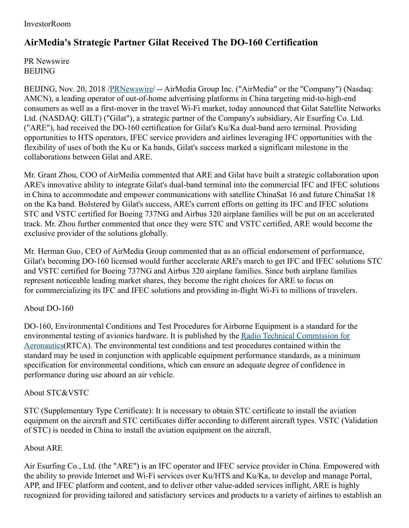## InvestorRoom

# **AirMedia's Strategic Partner Gilat Received The DO-160 Certification**

PR Newswire **BEIJING** 

BEIJING, Nov. 20, 2018 [/PRNewswire](http://www.prnewswire.com/)/ -- AirMedia Group Inc. ("AirMedia" or the "Company") (Nasdaq: AMCN), a leading operator of out-of-home advertising platforms in China targeting mid-to-high-end consumers as well as a first-mover in the travel Wi-Fi market, today announced that Gilat Satellite Networks Ltd. (NASDAQ: GILT) ("Gilat"), a strategic partner of the Company's subsidiary, Air Esurfing Co. Ltd. ("ARE"), had received the DO-160 certification for Gilat's Ku/Ka dual-band aero terminal. Providing opportunities to HTS operators, IFEC service providers and airlines leveraging IFC opportunities with the flexibility of uses of both the Ku or Ka bands, Gilat's success marked a significant milestone in the collaborations between Gilat and ARE.

Mr. Grant Zhou, COO of AirMedia commented that ARE and Gilat have built a strategic collaboration upon ARE's innovative ability to integrate Gilat's dual-band terminal into the commercial IFC and IFEC solutions in China to accommodate and empower communications with satellite ChinaSat 16 and future ChinaSat 18 on the Ka band. Bolstered by Gilat's success, ARE's current efforts on getting its IFC and IFEC solutions STC and VSTC certified for Boeing 737NG and Airbus 320 airplane families will be put on an accelerated track. Mr. Zhou further commented that once they were STC and VSTC certified, ARE would become the exclusive provider of the solutions globally.

Mr. Herman Guo, CEO of AirMedia Group commented that as an official endorsement of performance, Gilat's becoming DO-160 licensed would further accelerate ARE's march to get IFC and IFEC solutions STC and VSTC certified for Boeing 737NG and Airbus 320 airplane families. Since both airplane families represent noticeable leading market shares, they become the right choices for ARE to focus on for commercializing its IFC and IFEC solutions and providing in-flight Wi-Fi to millions of travelers.

## About DO-160

DO-160, Environmental Conditions and Test Procedures for Airborne Equipment is a standard for the environmental testing of avionics hardware. It is published by the Radio Technical Commission for [Aeronautics\(RTCA\).](https://en.wikipedia.org/wiki/RTCA,_Incorporated) The environmental test conditions and test procedures contained within the standard may be used in conjunction with applicable equipment performance standards, as a minimum specification for environmental conditions, which can ensure an adequate degree of confidence in performance during use aboard an air vehicle.

#### About STC&VSTC

STC (Supplementary Type Certificate): It is necessary to obtain STC certificate to install the aviation equipment on the aircraft and STC certificates differ according to different aircraft types. VSTC (Validation of STC) is needed in China to install the aviation equipment on the aircraft.

#### About ARE

Air Esurfing Co., Ltd. (the "ARE") is an IFC operator and IFEC service provider in China. Empowered with the ability to provide Internet and Wi-Fi services over Ku/HTS and Ku/Ka, to develop and manage Portal, APP, and IFEC platform and content, and to deliver other value-added services inflight, ARE is highly recognized for providing tailored and satisfactory services and products to a variety of airlines to establish an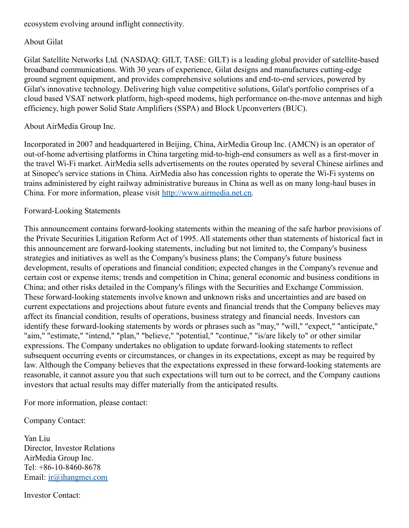## ecosystem evolving around inflight connectivity.

## About Gilat

Gilat Satellite Networks Ltd. (NASDAQ: GILT, TASE: GILT) is a leading global provider of satellite-based broadband communications. With 30 years of experience, Gilat designs and manufactures cutting-edge ground segment equipment, and provides comprehensive solutions and end-to-end services, powered by Gilat's innovative technology. Delivering high value competitive solutions, Gilat's portfolio comprises of a cloud based VSAT network platform, high-speed modems, high performance on-the-move antennas and high efficiency, high power Solid State Amplifiers (SSPA) and Block Upconverters (BUC).

## About AirMedia Group Inc.

Incorporated in 2007 and headquartered in Beijing, China, AirMedia Group Inc. (AMCN) is an operator of out-of-home advertising platforms in China targeting mid-to-high-end consumers as well as a first-mover in the travel Wi-Fi market. AirMedia sells advertisements on the routes operated by several Chinese airlines and at Sinopec's service stations in China. AirMedia also has concession rights to operate the Wi-Fi systems on trains administered by eight railway administrative bureaus in China as well as on many long-haul buses in China. For more information, please visit [http://www.airmedia.net.cn](http://www.airmedia.net.cn/).

## Forward-Looking Statements

This announcement contains forward-looking statements within the meaning of the safe harbor provisions of the Private Securities Litigation Reform Act of 1995. All statements other than statements of historical fact in this announcement are forward-looking statements, including but not limited to, the Company's business strategies and initiatives as well as the Company's business plans; the Company's future business development, results of operations and financial condition; expected changes in the Company's revenue and certain cost or expense items; trends and competition in China; general economic and business conditions in China; and other risks detailed in the Company's filings with the Securities and Exchange Commission. These forward-looking statements involve known and unknown risks and uncertainties and are based on current expectations and projections about future events and financial trends that the Company believes may affect its financial condition, results of operations, business strategy and financial needs. Investors can identify these forward-looking statements by words or phrases such as "may," "will," "expect," "anticipate," "aim," "estimate," "intend," "plan," "believe," "potential," "continue," "is/are likely to" or other similar expressions. The Company undertakes no obligation to update forward-looking statements to reflect subsequent occurring events or circumstances, or changes in its expectations, except as may be required by law. Although the Company believes that the expectations expressed in these forward-looking statements are reasonable, it cannot assure you that such expectations will turn out to be correct, and the Company cautions investors that actual results may differ materially from the anticipated results.

For more information, please contact:

Company Contact:

Yan Liu Director, Investor Relations AirMedia Group Inc. Tel: +86-10-8460-8678 Email: [ir@ihangmei.com](mailto:ir@ihangmei.com)

Investor Contact: